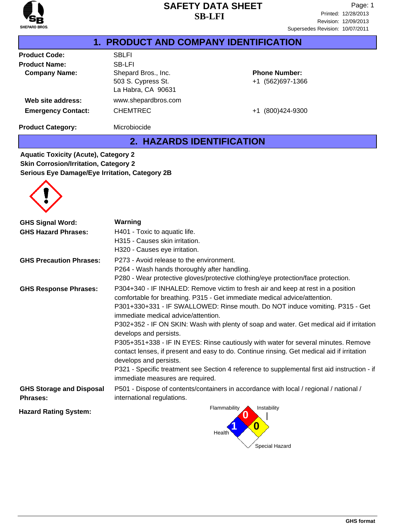

|                           | 1. PRODUCT AND COMPANY IDENTIFICATION                           |                                          |
|---------------------------|-----------------------------------------------------------------|------------------------------------------|
| <b>Product Code:</b>      | <b>SBLFI</b>                                                    |                                          |
| <b>Product Name:</b>      | <b>SB-LFI</b>                                                   |                                          |
| <b>Company Name:</b>      | Shepard Bros., Inc.<br>503 S. Cypress St.<br>La Habra, CA 90631 | <b>Phone Number:</b><br>+1 (562)697-1366 |
| Web site address:         | www.shepardbros.com                                             |                                          |
| <b>Emergency Contact:</b> | <b>CHEMTREC</b>                                                 | +1 (800)424-9300                         |
| <b>Product Category:</b>  | Microbiocide                                                    |                                          |

# **2. HAZARDS IDENTIFICATION**

**Aquatic Toxicity (Acute), Category 2 Skin Corrosion/Irritation, Category 2 Serious Eye Damage/Eye Irritation, Category 2B**

| <b>GHS Signal Word:</b>                            | Warning                                                                                                                                                                                                                                                                                                                                                                                                                                                                                                                                                                                                                                                                                                                                                      |
|----------------------------------------------------|--------------------------------------------------------------------------------------------------------------------------------------------------------------------------------------------------------------------------------------------------------------------------------------------------------------------------------------------------------------------------------------------------------------------------------------------------------------------------------------------------------------------------------------------------------------------------------------------------------------------------------------------------------------------------------------------------------------------------------------------------------------|
| <b>GHS Hazard Phrases:</b>                         | H401 - Toxic to aquatic life.                                                                                                                                                                                                                                                                                                                                                                                                                                                                                                                                                                                                                                                                                                                                |
|                                                    | H315 - Causes skin irritation.<br>H320 - Causes eye irritation.                                                                                                                                                                                                                                                                                                                                                                                                                                                                                                                                                                                                                                                                                              |
| <b>GHS Precaution Phrases:</b>                     | P273 - Avoid release to the environment.<br>P264 - Wash hands thoroughly after handling.<br>P280 - Wear protective gloves/protective clothing/eye protection/face protection.                                                                                                                                                                                                                                                                                                                                                                                                                                                                                                                                                                                |
| <b>GHS Response Phrases:</b>                       | P304+340 - IF INHALED: Remove victim to fresh air and keep at rest in a position<br>comfortable for breathing. P315 - Get immediate medical advice/attention.<br>P301+330+331 - IF SWALLOWED: Rinse mouth. Do NOT induce vomiting. P315 - Get<br>immediate medical advice/attention.<br>P302+352 - IF ON SKIN: Wash with plenty of soap and water. Get medical aid if irritation<br>develops and persists.<br>P305+351+338 - IF IN EYES: Rinse cautiously with water for several minutes. Remove<br>contact lenses, if present and easy to do. Continue rinsing. Get medical aid if irritation<br>develops and persists.<br>P321 - Specific treatment see Section 4 reference to supplemental first aid instruction - if<br>immediate measures are required. |
| <b>GHS Storage and Disposal</b><br><b>Phrases:</b> | P501 - Dispose of contents/containers in accordance with local / regional / national /<br>international regulations.                                                                                                                                                                                                                                                                                                                                                                                                                                                                                                                                                                                                                                         |
| <b>Hazard Rating System:</b>                       | Flammability<br>Instability                                                                                                                                                                                                                                                                                                                                                                                                                                                                                                                                                                                                                                                                                                                                  |

**Health** 

Special Hazard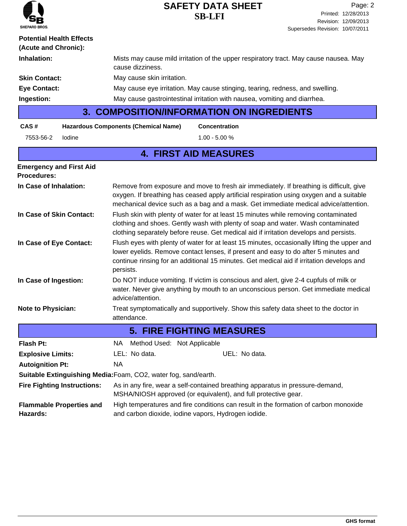| <b>SHEPARD BROS.</b> |
|----------------------|

| <b>Potential Health Effects</b><br>(Acute and Chronic): |                                                                                                                                                                                                                                                                                              |  |  |
|---------------------------------------------------------|----------------------------------------------------------------------------------------------------------------------------------------------------------------------------------------------------------------------------------------------------------------------------------------------|--|--|
| Inhalation:                                             | Mists may cause mild irritation of the upper respiratory tract. May cause nausea. May<br>cause dizziness.                                                                                                                                                                                    |  |  |
| <b>Skin Contact:</b>                                    | May cause skin irritation.                                                                                                                                                                                                                                                                   |  |  |
| <b>Eye Contact:</b>                                     | May cause eye irritation. May cause stinging, tearing, redness, and swelling.                                                                                                                                                                                                                |  |  |
| Ingestion:                                              | May cause gastrointestinal irritation with nausea, vomiting and diarrhea.                                                                                                                                                                                                                    |  |  |
|                                                         | <b>3. COMPOSITION/INFORMATION ON INGREDIENTS</b>                                                                                                                                                                                                                                             |  |  |
| CAS#                                                    | <b>Hazardous Components (Chemical Name)</b><br><b>Concentration</b>                                                                                                                                                                                                                          |  |  |
| lodine<br>7553-56-2                                     | $1.00 - 5.00 %$                                                                                                                                                                                                                                                                              |  |  |
|                                                         | <b>4. FIRST AID MEASURES</b>                                                                                                                                                                                                                                                                 |  |  |
| <b>Emergency and First Aid</b><br><b>Procedures:</b>    |                                                                                                                                                                                                                                                                                              |  |  |
| In Case of Inhalation:                                  | Remove from exposure and move to fresh air immediately. If breathing is difficult, give<br>oxygen. If breathing has ceased apply artificial respiration using oxygen and a suitable<br>mechanical device such as a bag and a mask. Get immediate medical advice/attention.                   |  |  |
| In Case of Skin Contact:                                | Flush skin with plenty of water for at least 15 minutes while removing contaminated<br>clothing and shoes. Gently wash with plenty of soap and water. Wash contaminated<br>clothing separately before reuse. Get medical aid if irritation develops and persists.                            |  |  |
| In Case of Eye Contact:                                 | Flush eyes with plenty of water for at least 15 minutes, occasionally lifting the upper and<br>lower eyelids. Remove contact lenses, if present and easy to do after 5 minutes and<br>continue rinsing for an additional 15 minutes. Get medical aid if irritation develops and<br>persists. |  |  |
| In Case of Ingestion:                                   | Do NOT induce vomiting. If victim is conscious and alert, give 2-4 cupfuls of milk or<br>water. Never give anything by mouth to an unconscious person. Get immediate medical<br>advice/attention.                                                                                            |  |  |
| <b>Note to Physician:</b>                               | Treat symptomatically and supportively. Show this safety data sheet to the doctor in<br>attendance.                                                                                                                                                                                          |  |  |
|                                                         | <b>5. FIRE FIGHTING MEASURES</b>                                                                                                                                                                                                                                                             |  |  |
| <b>Flash Pt:</b>                                        | NA Method Used: Not Applicable                                                                                                                                                                                                                                                               |  |  |
| <b>Explosive Limits:</b>                                | LEL: No data.<br>UEL: No data.                                                                                                                                                                                                                                                               |  |  |
| <b>Autoignition Pt:</b>                                 | <b>NA</b>                                                                                                                                                                                                                                                                                    |  |  |
|                                                         | Suitable Extinguishing Media: Foam, CO2, water fog, sand/earth.                                                                                                                                                                                                                              |  |  |
| <b>Fire Fighting Instructions:</b>                      | As in any fire, wear a self-contained breathing apparatus in pressure-demand,<br>MSHA/NIOSH approved (or equivalent), and full protective gear.                                                                                                                                              |  |  |
| <b>Flammable Properties and</b><br>Hazards:             | High temperatures and fire conditions can result in the formation of carbon monoxide<br>and carbon dioxide, iodine vapors, Hydrogen iodide.                                                                                                                                                  |  |  |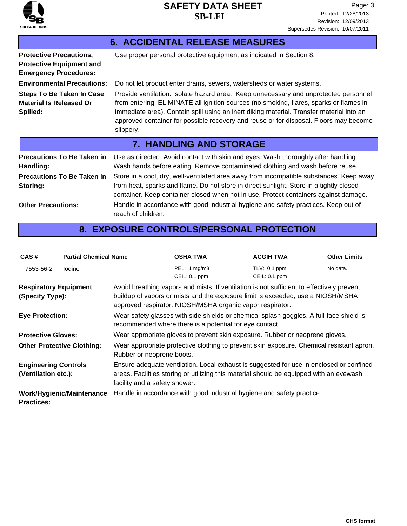

| <b>6. ACCIDENTAL RELEASE MEASURES</b>                                                             |                                                                                                                                                                                                                                                                                                                                                                                  |  |  |  |
|---------------------------------------------------------------------------------------------------|----------------------------------------------------------------------------------------------------------------------------------------------------------------------------------------------------------------------------------------------------------------------------------------------------------------------------------------------------------------------------------|--|--|--|
| <b>Protective Precautions,</b><br><b>Protective Equipment and</b><br><b>Emergency Procedures:</b> | Use proper personal protective equipment as indicated in Section 8.                                                                                                                                                                                                                                                                                                              |  |  |  |
| <b>Environmental Precautions:</b>                                                                 | Do not let product enter drains, sewers, watersheds or water systems.                                                                                                                                                                                                                                                                                                            |  |  |  |
| <b>Steps To Be Taken In Case</b><br><b>Material Is Released Or</b><br>Spilled:                    | Provide ventilation. Isolate hazard area. Keep unnecessary and unprotected personnel<br>from entering. ELIMINATE all ignition sources (no smoking, flares, sparks or flames in<br>immediate area). Contain spill using an inert diking material. Transfer material into an<br>approved container for possible recovery and reuse or for disposal. Floors may become<br>slippery. |  |  |  |
| <b>7. HANDLING AND STORAGE</b>                                                                    |                                                                                                                                                                                                                                                                                                                                                                                  |  |  |  |
|                                                                                                   |                                                                                                                                                                                                                                                                                                                                                                                  |  |  |  |
| <b>Precautions To Be Taken in</b><br>Handling:                                                    | Use as directed. Avoid contact with skin and eyes. Wash thoroughly after handling.<br>Wash hands before eating. Remove contaminated clothing and wash before reuse.                                                                                                                                                                                                              |  |  |  |
| <b>Precautions To Be Taken in</b><br>Storing:                                                     | Store in a cool, dry, well-ventilated area away from incompatible substances. Keep away<br>from heat, sparks and flame. Do not store in direct sunlight. Store in a tightly closed<br>container. Keep container closed when not in use. Protect containers against damage.                                                                                                       |  |  |  |

# **8. EXPOSURE CONTROLS/PERSONAL PROTECTION**

| CAS#                                                                                                                                                                                                                                                                      | <b>Partial Chemical Name</b> |                                                                                                                                                                                                                                           | <b>OSHA TWA</b>                                                        | <b>ACGIH TWA</b>                | <b>Other Limits</b> |
|---------------------------------------------------------------------------------------------------------------------------------------------------------------------------------------------------------------------------------------------------------------------------|------------------------------|-------------------------------------------------------------------------------------------------------------------------------------------------------------------------------------------------------------------------------------------|------------------------------------------------------------------------|---------------------------------|---------------------|
| 7553-56-2                                                                                                                                                                                                                                                                 | lodine                       |                                                                                                                                                                                                                                           | PEL: 1 mg/m3<br>CEIL: 0.1 ppm                                          | TLV: 0.1 ppm<br>$CELL: 0.1$ ppm | No data.            |
| <b>Respiratory Equipment</b><br>(Specify Type):                                                                                                                                                                                                                           |                              | Avoid breathing vapors and mists. If ventilation is not sufficient to effectively prevent<br>buildup of vapors or mists and the exposure limit is exceeded, use a NIOSH/MSHA<br>approved respirator. NIOSH/MSHA organic vapor respirator. |                                                                        |                                 |                     |
| <b>Eye Protection:</b>                                                                                                                                                                                                                                                    |                              | Wear safety glasses with side shields or chemical splash goggles. A full-face shield is<br>recommended where there is a potential for eye contact.                                                                                        |                                                                        |                                 |                     |
| <b>Protective Gloves:</b>                                                                                                                                                                                                                                                 |                              | Wear appropriate gloves to prevent skin exposure. Rubber or neoprene gloves.                                                                                                                                                              |                                                                        |                                 |                     |
| <b>Other Protective Clothing:</b>                                                                                                                                                                                                                                         |                              | Wear appropriate protective clothing to prevent skin exposure. Chemical resistant apron.<br>Rubber or neoprene boots.                                                                                                                     |                                                                        |                                 |                     |
| Ensure adequate ventilation. Local exhaust is suggested for use in enclosed or confined<br><b>Engineering Controls</b><br>areas. Facilities storing or utilizing this material should be equipped with an eyewash<br>(Ventilation etc.):<br>facility and a safety shower. |                              |                                                                                                                                                                                                                                           |                                                                        |                                 |                     |
| <b>Practices:</b>                                                                                                                                                                                                                                                         | Work/Hygienic/Maintenance    |                                                                                                                                                                                                                                           | Handle in accordance with good industrial hygiene and safety practice. |                                 |                     |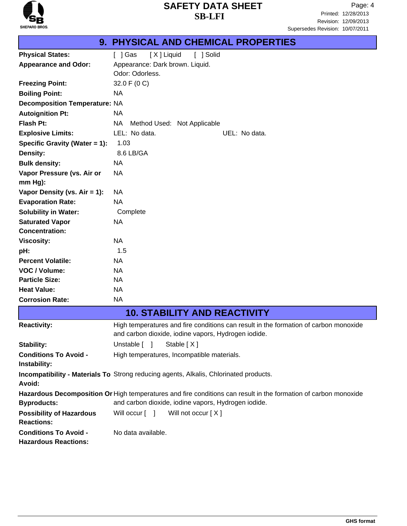

# **9. PHYSICAL AND CHEMICAL PROPERTIES**

| <b>Appearance and Odor:</b><br>Odor: Odorless.<br>32.0 F (0 C)<br><b>Freezing Point:</b><br>ΝA<br><b>Boiling Point:</b><br><b>Decomposition Temperature: NA</b> | Appearance: Dark brown. Liquid.                                                                                                             |
|-----------------------------------------------------------------------------------------------------------------------------------------------------------------|---------------------------------------------------------------------------------------------------------------------------------------------|
|                                                                                                                                                                 |                                                                                                                                             |
|                                                                                                                                                                 |                                                                                                                                             |
|                                                                                                                                                                 |                                                                                                                                             |
|                                                                                                                                                                 |                                                                                                                                             |
|                                                                                                                                                                 |                                                                                                                                             |
| ΝA<br><b>Autoignition Pt:</b>                                                                                                                                   |                                                                                                                                             |
| <b>Flash Pt:</b><br>ΝA                                                                                                                                          | Method Used: Not Applicable                                                                                                                 |
| LEL: No data.<br><b>Explosive Limits:</b>                                                                                                                       | UEL: No data.                                                                                                                               |
| 1.03<br>Specific Gravity (Water = 1):                                                                                                                           |                                                                                                                                             |
| 8.6 LB/GA<br><b>Density:</b>                                                                                                                                    |                                                                                                                                             |
| <b>Bulk density:</b><br>NA                                                                                                                                      |                                                                                                                                             |
| ΝA<br>Vapor Pressure (vs. Air or                                                                                                                                |                                                                                                                                             |
| mm Hg):                                                                                                                                                         |                                                                                                                                             |
| Vapor Density (vs. $Air = 1$ ):<br>ΝA                                                                                                                           |                                                                                                                                             |
| <b>NA</b><br><b>Evaporation Rate:</b>                                                                                                                           |                                                                                                                                             |
| <b>Solubility in Water:</b><br>Complete                                                                                                                         |                                                                                                                                             |
| NA<br><b>Saturated Vapor</b>                                                                                                                                    |                                                                                                                                             |
| <b>Concentration:</b>                                                                                                                                           |                                                                                                                                             |
| <b>NA</b><br><b>Viscosity:</b>                                                                                                                                  |                                                                                                                                             |
| 1.5<br>pH:                                                                                                                                                      |                                                                                                                                             |
| <b>NA</b><br><b>Percent Volatile:</b>                                                                                                                           |                                                                                                                                             |
| <b>NA</b><br>VOC / Volume:                                                                                                                                      |                                                                                                                                             |
| ΝA<br><b>Particle Size:</b>                                                                                                                                     |                                                                                                                                             |
| <b>NA</b><br><b>Heat Value:</b>                                                                                                                                 |                                                                                                                                             |
| <b>NA</b><br><b>Corrosion Rate:</b>                                                                                                                             |                                                                                                                                             |
|                                                                                                                                                                 | <b>10. STABILITY AND REACTIVITY</b>                                                                                                         |
| <b>Reactivity:</b>                                                                                                                                              | High temperatures and fire conditions can result in the formation of carbon monoxide<br>and carbon dioxide, iodine vapors, Hydrogen iodide. |
| Unstable [ ]<br>Stability:                                                                                                                                      | Stable $[X]$                                                                                                                                |
| <b>Conditions To Avoid -</b>                                                                                                                                    | High temperatures, Incompatible materials.                                                                                                  |
| Instability:                                                                                                                                                    |                                                                                                                                             |
| <b>Incompatibility - Materials To</b> Strong reducing agents, Alkalis, Chlorinated products.<br>Avoid:                                                          |                                                                                                                                             |

Hazardous Decomposition Or High temperatures and fire conditions can result in the formation of carbon monoxide and carbon dioxide, iodine vapors, Hydrogen iodide. **Byproducts: Possibility of Hazardous** Will occur [ ] Will not occur [ X ] **Reactions: Conditions To Avoid -** No data available.

**Hazardous Reactions:**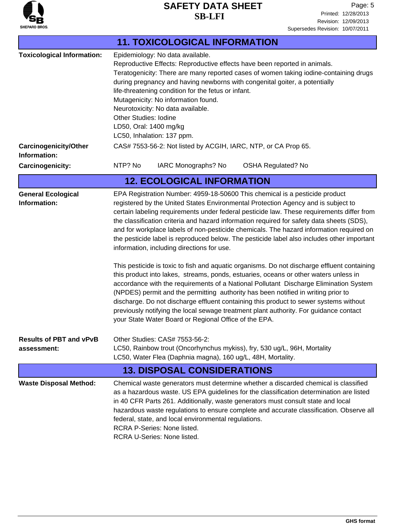

Revision: 12/09/2013 Printed: 12/28/2013 Page: 5 Supersedes Revision: 10/07/2011

| <b>11. TOXICOLOGICAL INFORMATION</b>                              |                                                                                                                                                                                                                                                                                                                                                                                                                                                                                                                                                                                                                                                                                                                                                                                                                                                                                                                                                                                                                                                                                                                                                                                                                   |  |  |  |  |
|-------------------------------------------------------------------|-------------------------------------------------------------------------------------------------------------------------------------------------------------------------------------------------------------------------------------------------------------------------------------------------------------------------------------------------------------------------------------------------------------------------------------------------------------------------------------------------------------------------------------------------------------------------------------------------------------------------------------------------------------------------------------------------------------------------------------------------------------------------------------------------------------------------------------------------------------------------------------------------------------------------------------------------------------------------------------------------------------------------------------------------------------------------------------------------------------------------------------------------------------------------------------------------------------------|--|--|--|--|
| <b>Toxicological Information:</b><br><b>Carcinogenicity/Other</b> | Epidemiology: No data available.<br>Reproductive Effects: Reproductive effects have been reported in animals.<br>Teratogenicity: There are many reported cases of women taking iodine-containing drugs<br>during pregnancy and having newborns with congenital goiter, a potentially<br>life-threatening condition for the fetus or infant.<br>Mutagenicity: No information found.<br>Neurotoxicity: No data available.<br><b>Other Studies: Iodine</b><br>LD50, Oral: 1400 mg/kg<br>LC50, Inhalation: 137 ppm.<br>CAS# 7553-56-2: Not listed by ACGIH, IARC, NTP, or CA Prop 65.                                                                                                                                                                                                                                                                                                                                                                                                                                                                                                                                                                                                                                 |  |  |  |  |
| Information:<br><b>Carcinogenicity:</b>                           | NTP? No<br>IARC Monographs? No<br><b>OSHA Regulated? No</b>                                                                                                                                                                                                                                                                                                                                                                                                                                                                                                                                                                                                                                                                                                                                                                                                                                                                                                                                                                                                                                                                                                                                                       |  |  |  |  |
|                                                                   | <b>12. ECOLOGICAL INFORMATION</b>                                                                                                                                                                                                                                                                                                                                                                                                                                                                                                                                                                                                                                                                                                                                                                                                                                                                                                                                                                                                                                                                                                                                                                                 |  |  |  |  |
| <b>General Ecological</b><br>Information:                         | EPA Registration Number: 4959-18-50600 This chemical is a pesticide product<br>registered by the United States Environmental Protection Agency and is subject to<br>certain labeling requirements under federal pesticide law. These requirements differ from<br>the classification criteria and hazard information required for safety data sheets (SDS),<br>and for workplace labels of non-pesticide chemicals. The hazard information required on<br>the pesticide label is reproduced below. The pesticide label also includes other important<br>information, including directions for use.<br>This pesticide is toxic to fish and aquatic organisms. Do not discharge effluent containing<br>this product into lakes, streams, ponds, estuaries, oceans or other waters unless in<br>accordance with the requirements of a National Pollutant Discharge Elimination System<br>(NPDES) permit and the permitting authority has been notified in writing prior to<br>discharge. Do not discharge effluent containing this product to sewer systems without<br>previously notifying the local sewage treatment plant authority. For guidance contact<br>your State Water Board or Regional Office of the EPA. |  |  |  |  |
| <b>Results of PBT and vPvB</b><br>assessment:                     | Other Studies: CAS# 7553-56-2:<br>LC50, Rainbow trout (Oncorhynchus mykiss), fry, 530 ug/L, 96H, Mortality<br>LC50, Water Flea (Daphnia magna), 160 ug/L, 48H, Mortality.                                                                                                                                                                                                                                                                                                                                                                                                                                                                                                                                                                                                                                                                                                                                                                                                                                                                                                                                                                                                                                         |  |  |  |  |
| <b>13. DISPOSAL CONSIDERATIONS</b>                                |                                                                                                                                                                                                                                                                                                                                                                                                                                                                                                                                                                                                                                                                                                                                                                                                                                                                                                                                                                                                                                                                                                                                                                                                                   |  |  |  |  |
| <b>Waste Disposal Method:</b>                                     | Chemical waste generators must determine whether a discarded chemical is classified<br>as a hazardous waste. US EPA guidelines for the classification determination are listed<br>in 40 CFR Parts 261. Additionally, waste generators must consult state and local<br>hazardous waste regulations to ensure complete and accurate classification. Observe all<br>federal, state, and local environmental regulations.<br>RCRA P-Series: None listed.<br>RCRA U-Series: None listed.                                                                                                                                                                                                                                                                                                                                                                                                                                                                                                                                                                                                                                                                                                                               |  |  |  |  |